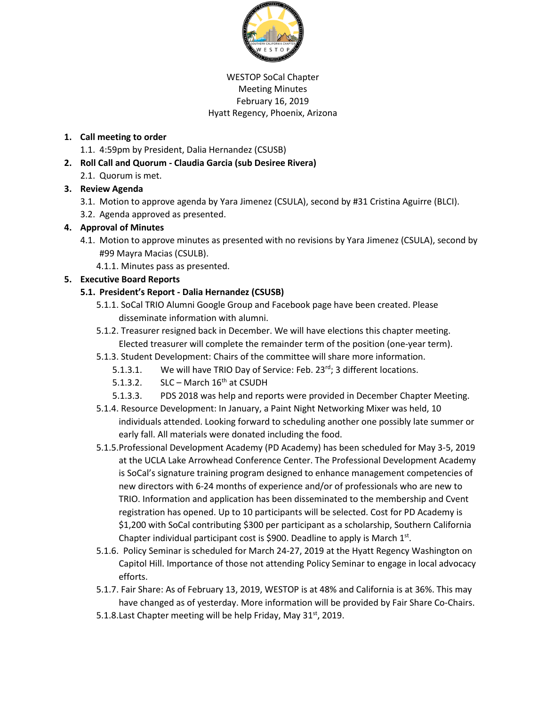

### WESTOP SoCal Chapter Meeting Minutes February 16, 2019 Hyatt Regency, Phoenix, Arizona

### **1. Call meeting to order**

- 1.1. 4:59pm by President, Dalia Hernandez (CSUSB)
- **2. Roll Call and Quorum - Claudia Garcia (sub Desiree Rivera)**
	- 2.1. Quorum is met.

## **3. Review Agenda**

- 3.1. Motion to approve agenda by Yara Jimenez (CSULA), second by #31 Cristina Aguirre (BLCI).
- 3.2. Agenda approved as presented.

### **4. Approval of Minutes**

- 4.1. Motion to approve minutes as presented with no revisions by Yara Jimenez (CSULA), second by #99 Mayra Macias (CSULB).
	- 4.1.1. Minutes pass as presented.

## **5. Executive Board Reports**

### **5.1. President's Report - Dalia Hernandez (CSUSB)**

- 5.1.1. SoCal TRIO Alumni Google Group and Facebook page have been created. Please disseminate information with alumni.
- 5.1.2. Treasurer resigned back in December. We will have elections this chapter meeting. Elected treasurer will complete the remainder term of the position (one-year term).
- 5.1.3. Student Development: Chairs of the committee will share more information.
	- 5.1.3.1. We will have TRIO Day of Service: Feb. 23rd; 3 different locations.
	- 5.1.3.2. SLC March  $16<sup>th</sup>$  at CSUDH
	- 5.1.3.3. PDS 2018 was help and reports were provided in December Chapter Meeting.
- 5.1.4. Resource Development: In January, a Paint Night Networking Mixer was held, 10 individuals attended. Looking forward to scheduling another one possibly late summer or early fall. All materials were donated including the food.
- 5.1.5.Professional Development Academy (PD Academy) has been scheduled for May 3-5, 2019 at the UCLA Lake Arrowhead Conference Center. The Professional Development Academy is SoCal's signature training program designed to enhance management competencies of new directors with 6-24 months of experience and/or of professionals who are new to TRIO. Information and application has been disseminated to the membership and Cvent registration has opened. Up to 10 participants will be selected. Cost for PD Academy is \$1,200 with SoCal contributing \$300 per participant as a scholarship, Southern California Chapter individual participant cost is \$900. Deadline to apply is March  $1^{st}$ .
- 5.1.6. Policy Seminar is scheduled for March 24-27, 2019 at the Hyatt Regency Washington on Capitol Hill. Importance of those not attending Policy Seminar to engage in local advocacy efforts.
- 5.1.7. Fair Share: As of February 13, 2019, WESTOP is at 48% and California is at 36%. This may have changed as of yesterday. More information will be provided by Fair Share Co-Chairs.
- 5.1.8. Last Chapter meeting will be help Friday, May 31<sup>st</sup>, 2019.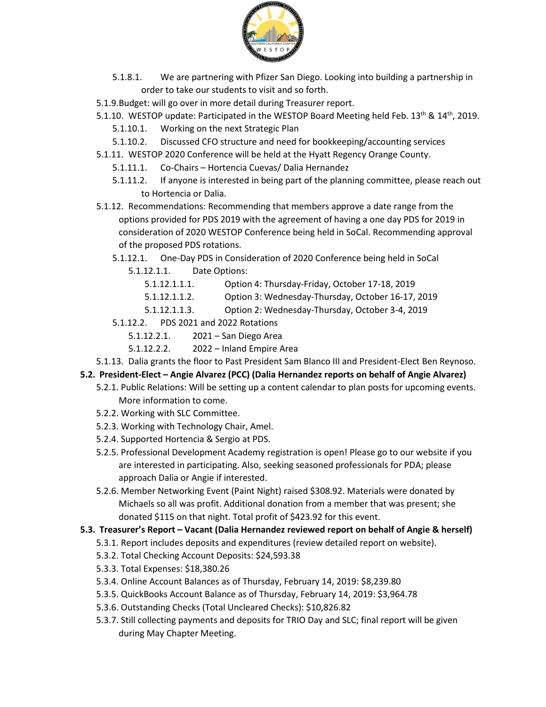

- 5.1.8.1. We are partnering with Pfizer San Diego. Looking into building a partnership in order to take our students to visit and so forth.
- 5.1.9.Budget: will go over in more detail during Treasurer report.
- 5.1.10. WESTOP update: Participated in the WESTOP Board Meeting held Feb. 13<sup>th</sup> & 14<sup>th</sup>, 2019. 5.1.10.1. Working on the next Strategic Plan
	- 5.1.10.2. Discussed CFO structure and need for bookkeeping/accounting services
- 5.1.11. WESTOP 2020 Conference will be held at the Hyatt Regency Orange County.
	- 5.1.11.1. Co-Chairs Hortencia Cuevas/ Dalia Hernandez
	- 5.1.11.2. If anyone is interested in being part of the planning committee, please reach out to Hortencia or Dalia.
- 5.1.12. Recommendations: Recommending that members approve a date range from the options provided for PDS 2019 with the agreement of having a one day PDS for 2019 in consideration of 2020 WESTOP Conference being held in SoCal. Recommending approval of the proposed PDS rotations.
	- 5.1.12.1. One-Day PDS in Consideration of 2020 Conference being held in SoCal
		- 5.1.12.1.1. Date Options:
			- 5.1.12.1.1.1. Option 4: Thursday-Friday, October 17-18, 2019
			- 5.1.12.1.1.2. Option 3: Wednesday-Thursday, October 16-17, 2019
			- 5.1.12.1.1.3. Option 2: Wednesday-Thursday, October 3-4, 2019
	- 5.1.12.2. PDS 2021 and 2022 Rotations
		- 5.1.12.2.1. 2021 San Diego Area
		- 5.1.12.2.2. 2022 Inland Empire Area
- 5.1.13. Dalia grants the floor to Past President Sam Blanco III and President-Elect Ben Reynoso.

### **5.2. President-Elect – Angie Alvarez (PCC) (Dalia Hernandez reports on behalf of Angie Alvarez)**

- 5.2.1. Public Relations: Will be setting up a content calendar to plan posts for upcoming events. More information to come.
- 5.2.2. Working with SLC Committee.
- 5.2.3. Working with Technology Chair, Amel.
- 5.2.4. Supported Hortencia & Sergio at PDS.
- 5.2.5. Professional Development Academy registration is open! Please go to our website if you are interested in participating. Also, seeking seasoned professionals for PDA; please approach Dalia or Angie if interested.
- 5.2.6. Member Networking Event (Paint Night) raised \$308.92. Materials were donated by Michaels so all was profit. Additional donation from a member that was present; she donated \$115 on that night. Total profit of \$423.92 for this event.

#### **5.3. Treasurer's Report – Vacant (Dalia Hernandez reviewed report on behalf of Angie & herself)**

- 5.3.1. Report includes deposits and expenditures (review detailed report on website).
- 5.3.2. Total Checking Account Deposits: \$24,593.38
- 5.3.3. Total Expenses: \$18,380.26
- 5.3.4. Online Account Balances as of Thursday, February 14, 2019: \$8,239.80
- 5.3.5. QuickBooks Account Balance as of Thursday, February 14, 2019: \$3,964.78
- 5.3.6. Outstanding Checks (Total Uncleared Checks): \$10,826.82
- 5.3.7. Still collecting payments and deposits for TRIO Day and SLC; final report will be given during May Chapter Meeting.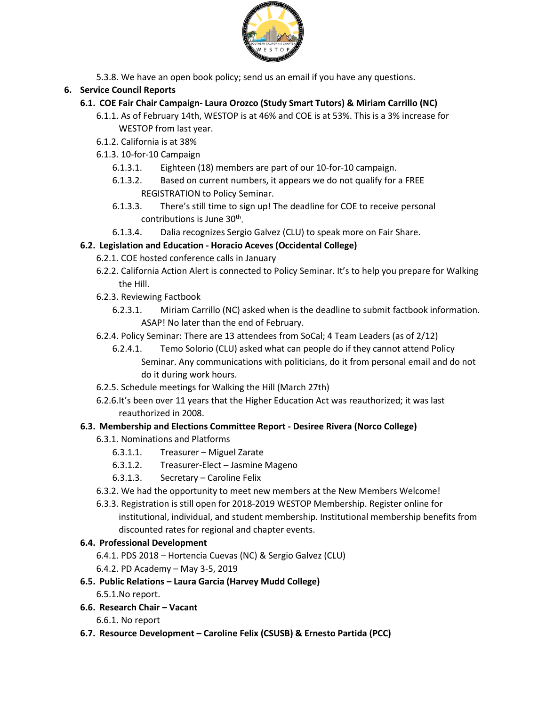

5.3.8. We have an open book policy; send us an email if you have any questions.

## **6. Service Council Reports**

## **6.1. COE Fair Chair Campaign- Laura Orozco (Study Smart Tutors) & Miriam Carrillo (NC)**

- 6.1.1. As of February 14th, WESTOP is at 46% and COE is at 53%. This is a 3% increase for WESTOP from last year.
- 6.1.2. California is at 38%
- 6.1.3. 10-for-10 Campaign
	- 6.1.3.1. Eighteen (18) members are part of our 10-for-10 campaign.
	- 6.1.3.2. Based on current numbers, it appears we do not qualify for a FREE REGISTRATION to Policy Seminar.
	- 6.1.3.3. There's still time to sign up! The deadline for COE to receive personal contributions is June 30<sup>th</sup>.
	- 6.1.3.4. Dalia recognizes Sergio Galvez (CLU) to speak more on Fair Share.

## **6.2. Legislation and Education - Horacio Aceves (Occidental College)**

- 6.2.1. COE hosted conference calls in January
- 6.2.2. California Action Alert is connected to Policy Seminar. It's to help you prepare for Walking the Hill.
- 6.2.3. Reviewing Factbook
	- 6.2.3.1. Miriam Carrillo (NC) asked when is the deadline to submit factbook information. ASAP! No later than the end of February.
- 6.2.4. Policy Seminar: There are 13 attendees from SoCal; 4 Team Leaders (as of 2/12)
	- 6.2.4.1. Temo Solorio (CLU) asked what can people do if they cannot attend Policy Seminar. Any communications with politicians, do it from personal email and do not do it during work hours.
- 6.2.5. Schedule meetings for Walking the Hill (March 27th)
- 6.2.6.It's been over 11 years that the Higher Education Act was reauthorized; it was last reauthorized in 2008.

## **6.3. Membership and Elections Committee Report - Desiree Rivera (Norco College)**

- 6.3.1. Nominations and Platforms
	- 6.3.1.1. Treasurer Miguel Zarate
	- 6.3.1.2. Treasurer-Elect Jasmine Mageno
	- 6.3.1.3. Secretary Caroline Felix
- 6.3.2. We had the opportunity to meet new members at the New Members Welcome!
- 6.3.3. Registration is still open for 2018-2019 WESTOP Membership. Register online for institutional, individual, and student membership. Institutional membership benefits from discounted rates for regional and chapter events.

### **6.4. Professional Development**

- 6.4.1. PDS 2018 Hortencia Cuevas (NC) & Sergio Galvez (CLU)
- 6.4.2. PD Academy May 3-5, 2019

### **6.5. Public Relations – Laura Garcia (Harvey Mudd College)**

- 6.5.1.No report.
- **6.6. Research Chair – Vacant**
	- 6.6.1. No report
- **6.7. Resource Development – Caroline Felix (CSUSB) & Ernesto Partida (PCC)**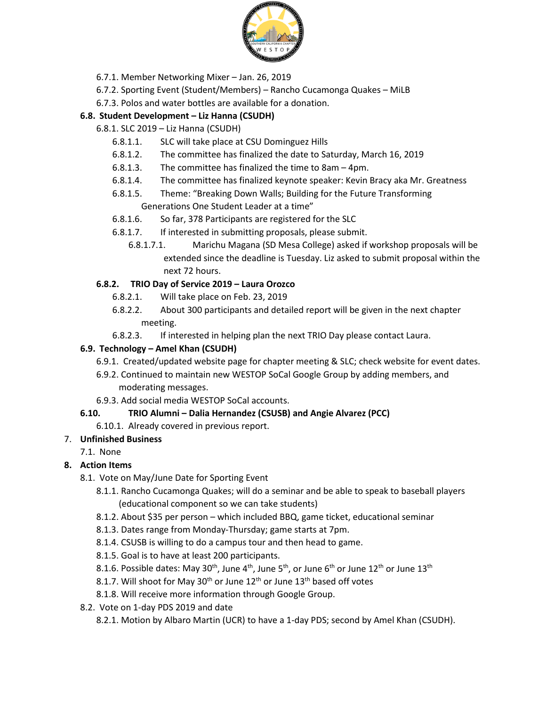

- 6.7.1. Member Networking Mixer Jan. 26, 2019
- 6.7.2. Sporting Event (Student/Members) Rancho Cucamonga Quakes MiLB
- 6.7.3. Polos and water bottles are available for a donation.

## **6.8. Student Development – Liz Hanna (CSUDH)**

- 6.8.1. SLC 2019 Liz Hanna (CSUDH)
	- 6.8.1.1. SLC will take place at CSU Dominguez Hills
	- 6.8.1.2. The committee has finalized the date to Saturday, March 16, 2019
	- 6.8.1.3. The committee has finalized the time to 8am 4pm.
	- 6.8.1.4. The committee has finalized keynote speaker: Kevin Bracy aka Mr. Greatness
	- 6.8.1.5. Theme: "Breaking Down Walls; Building for the Future Transforming Generations One Student Leader at a time"
	- 6.8.1.6. So far, 378 Participants are registered for the SLC
	- 6.8.1.7. If interested in submitting proposals, please submit.
		- 6.8.1.7.1. Marichu Magana (SD Mesa College) asked if workshop proposals will be extended since the deadline is Tuesday. Liz asked to submit proposal within the next 72 hours.

## **6.8.2. TRIO Day of Service 2019 – Laura Orozco**

- 6.8.2.1. Will take place on Feb. 23, 2019
- 6.8.2.2. About 300 participants and detailed report will be given in the next chapter meeting.
- 6.8.2.3. If interested in helping plan the next TRIO Day please contact Laura.

## **6.9. Technology – Amel Khan (CSUDH)**

- 6.9.1. Created/updated website page for chapter meeting & SLC; check website for event dates.
- 6.9.2. Continued to maintain new WESTOP SoCal Google Group by adding members, and moderating messages.
- 6.9.3. Add social media WESTOP SoCal accounts.

# **6.10. TRIO Alumni – Dalia Hernandez (CSUSB) and Angie Alvarez (PCC)**

6.10.1. Already covered in previous report.

# 7. **Unfinished Business**

7.1. None

# **8. Action Items**

- 8.1. Vote on May/June Date for Sporting Event
	- 8.1.1. Rancho Cucamonga Quakes; will do a seminar and be able to speak to baseball players (educational component so we can take students)
	- 8.1.2. About \$35 per person which included BBQ, game ticket, educational seminar
	- 8.1.3. Dates range from Monday-Thursday; game starts at 7pm.
	- 8.1.4. CSUSB is willing to do a campus tour and then head to game.
	- 8.1.5. Goal is to have at least 200 participants.
	- 8.1.6. Possible dates: May 30<sup>th</sup>, June 4<sup>th</sup>, June 5<sup>th</sup>, or June 6<sup>th</sup> or June 12<sup>th</sup> or June 13<sup>th</sup>
	- 8.1.7. Will shoot for May 30<sup>th</sup> or June 12<sup>th</sup> or June 13<sup>th</sup> based off votes
	- 8.1.8. Will receive more information through Google Group.
- 8.2. Vote on 1-day PDS 2019 and date
	- 8.2.1. Motion by Albaro Martin (UCR) to have a 1-day PDS; second by Amel Khan (CSUDH).